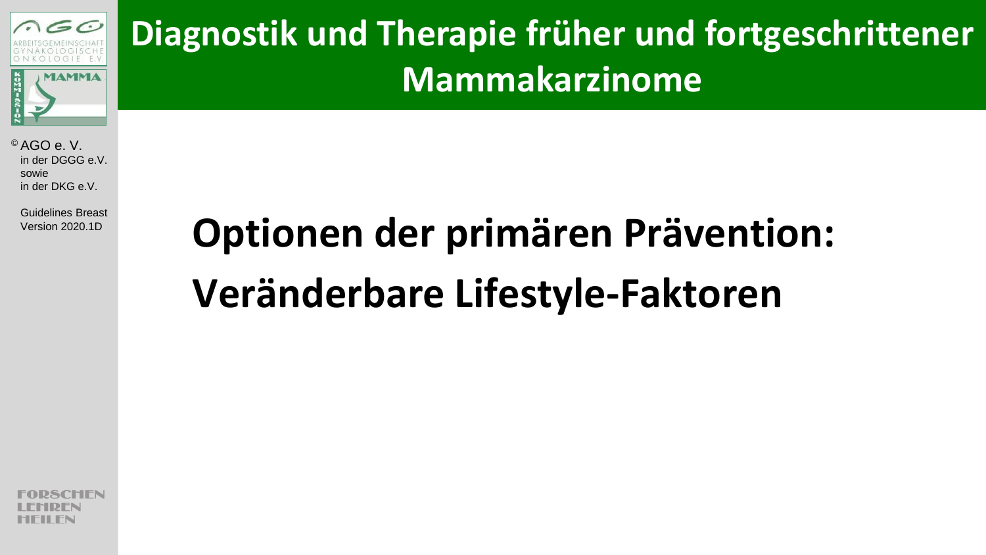

**Diagnostik und Therapie früher und fortgeschrittener Mammakarzinome**

© AGO e. V. in der DGGG e.V. sowie in der DKG e.V.

Guidelines Breast

# Version 2020.1D **Optionen der primären Prävention: Veränderbare Lifestyle-Faktoren**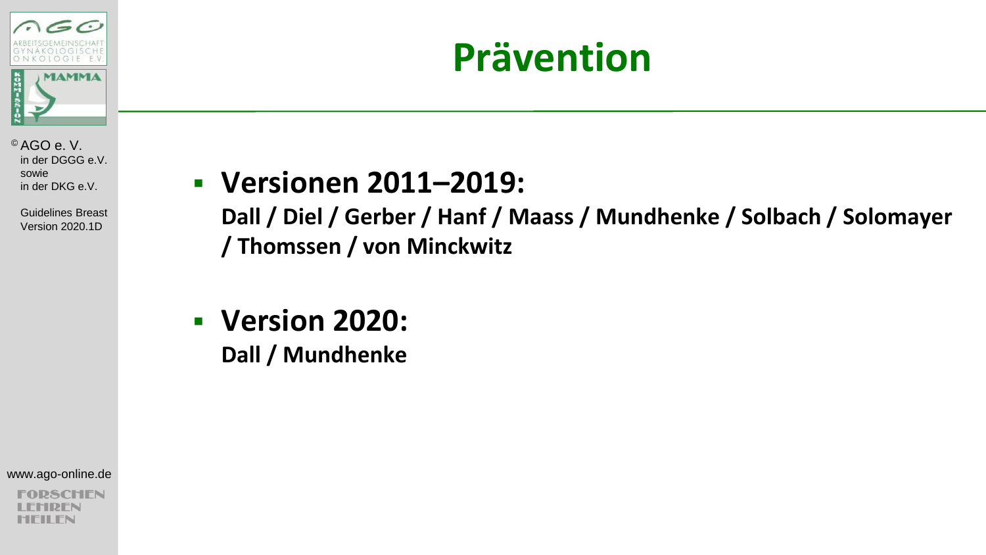

### **Prävention**

© AGO e. V. in der DGGG e.V. sowie in der DKG e.V.

> Guidelines Breast Version 2020.1D

### **Versionen 2011–2019:**

**Dall / Diel / Gerber / Hanf / Maass / Mundhenke / Solbach / Solomayer / Thomssen / von Minckwitz**

 **Version 2020: Dall / Mundhenke**

www.ago-online.de

SCHEN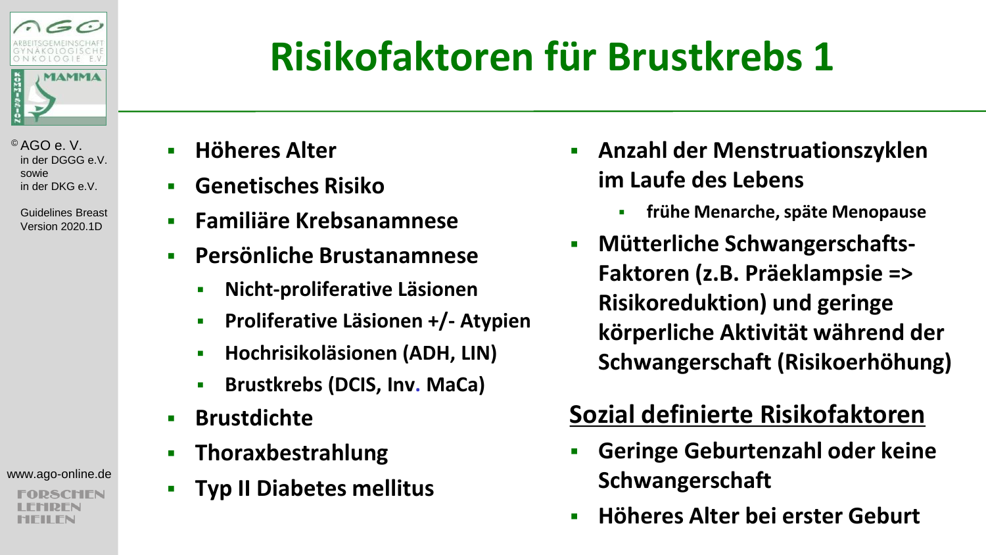

 Guidelines Breast Version 2020.1D

www.ago-online.de

CHEN

# **Risikofaktoren für Brustkrebs 1**

- **Höheres Alter**
- **Genetisches Risiko**
- **Familiäre Krebsanamnese**
- **Persönliche Brustanamnese**
	- **Nicht-proliferative Läsionen**
	- **Proliferative Läsionen +/- Atypien**
	- **Hochrisikoläsionen (ADH, LIN)**
	- **Brustkrebs (DCIS, Inv. MaCa)**
- **Brustdichte**
- **Thoraxbestrahlung**
- **Typ II Diabetes mellitus**
- **Anzahl der Menstruationszyklen im Laufe des Lebens**
	- **frühe Menarche, späte Menopause**
- **EXECUTE:** Mütterliche Schwangerschafts-**Faktoren (z.B. Präeklampsie => Risikoreduktion) und geringe körperliche Aktivität während der Schwangerschaft (Risikoerhöhung)**

### **Sozial definierte Risikofaktoren**

- **Geringe Geburtenzahl oder keine Schwangerschaft**
- **Höheres Alter bei erster Geburt**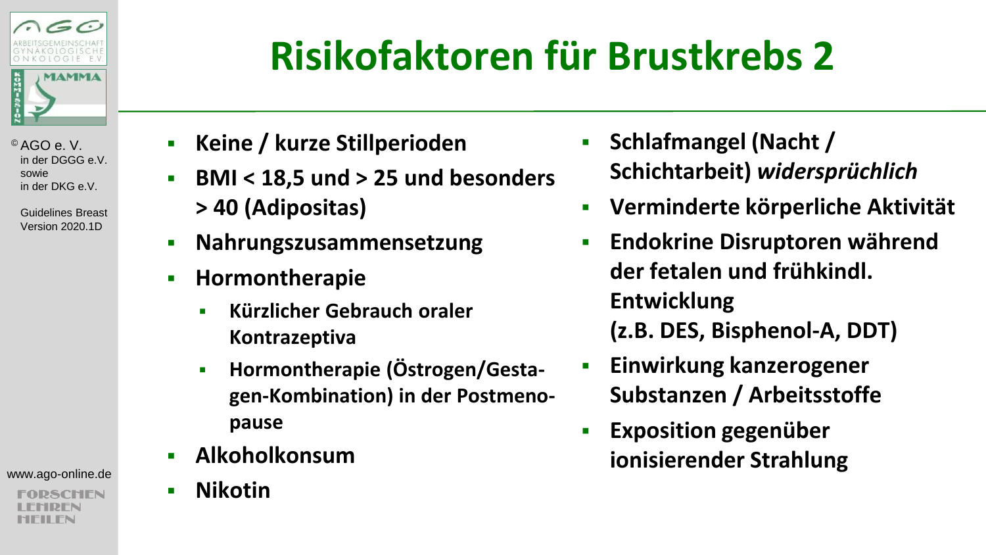

> Guidelines Breast Version 2020.1D

www.ago-online.de

SCHIFN

### **Risikofaktoren für Brustkrebs 2**

- **Keine / kurze Stillperioden**
- **BMI < 18,5 und > 25 und besonders > 40 (Adipositas)**
- **Nahrungszusammensetzung**
- **Hormontherapie**
	- **Kürzlicher Gebrauch oraler Kontrazeptiva**
	- **-** Hormontherapie (Östrogen/Gesta**gen-Kombination) in der Postmenopause**
- **Alkoholkonsum**
- **Nikotin**
- **Fig. 3 Schlafmangel (Nacht / Schichtarbeit)** *widersprüchlich*
- **Verminderte körperliche Aktivität**
- **Endokrine Disruptoren während der fetalen und frühkindl. Entwicklung (z.B. DES, Bisphenol-A, DDT)**
- **Einwirkung kanzerogener Substanzen / Arbeitsstoffe**
- **Exposition gegenüber ionisierender Strahlung**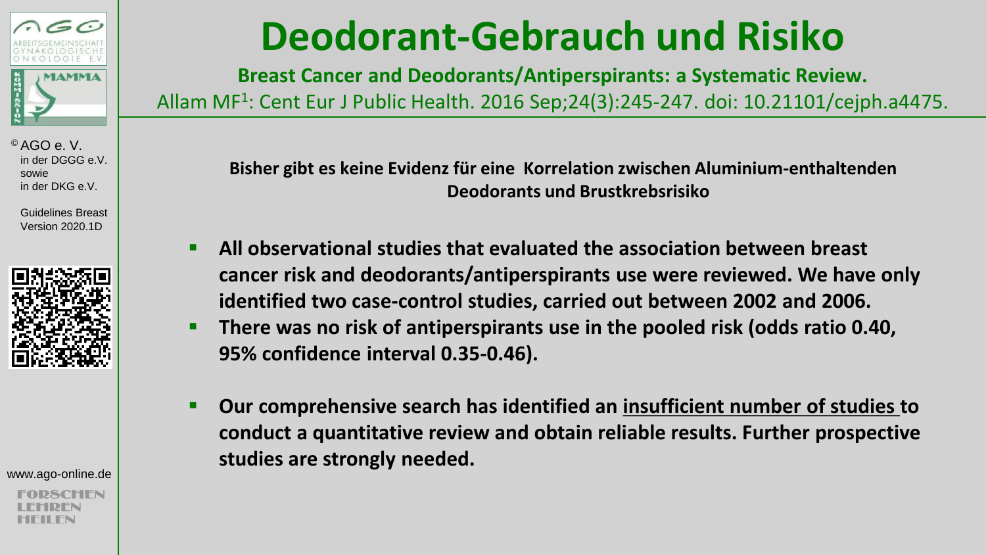

 Guidelines Breast Version 2020.1D



www.ago-online.de

### **Deodorant-Gebrauch und Risiko**

**Breast Cancer and Deodorants/Antiperspirants: a Systematic Review.** 

Allam MF<sup>1</sup> : Cent Eur J Public Health. 2016 Sep;24(3):245-247. doi: 10.21101/cejph.a4475.

**Bisher gibt es keine Evidenz für eine Korrelation zwischen Aluminium-enthaltenden Deodorants und Brustkrebsrisiko**

- **All observational studies that evaluated the association between breast cancer risk and deodorants/antiperspirants use were reviewed. We have only identified two case-control studies, carried out between 2002 and 2006.**
- **There was no risk of antiperspirants use in the pooled risk (odds ratio 0.40, 95% confidence interval 0.35-0.46).**
- **Our comprehensive search has identified an insufficient number of studies to conduct a quantitative review and obtain reliable results. Further prospective studies are strongly needed.**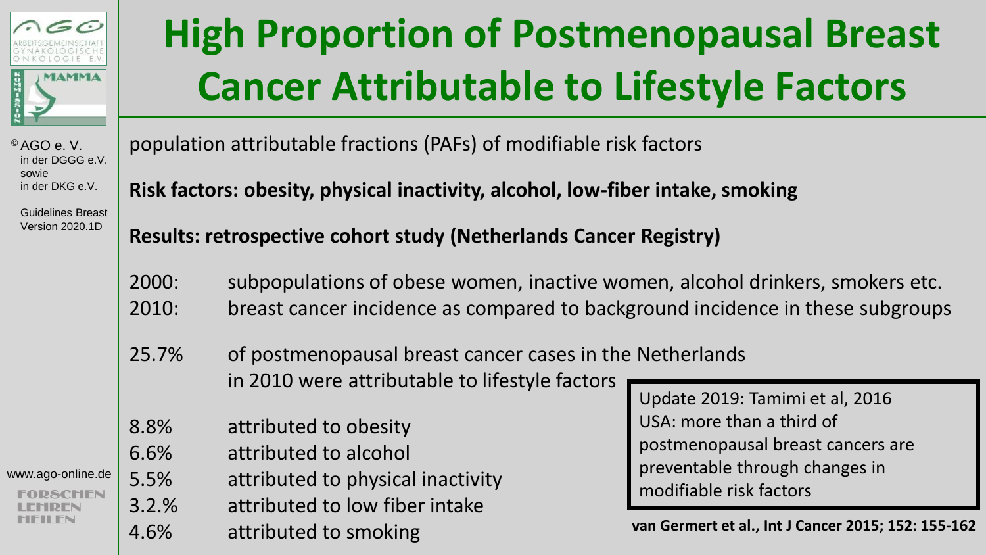

### **High Proportion of Postmenopausal Breast Cancer Attributable to Lifestyle Factors**

© AGO e. V. in der DGGG e.V. sowie in der DKG e.V.

 Guidelines Breast Version 2020.1D

population attributable fractions (PAFs) of modifiable risk factors

**Risk factors: obesity, physical inactivity, alcohol, low-fiber intake, smoking**

**Results: retrospective cohort study (Netherlands Cancer Registry)**

2000: subpopulations of obese women, inactive women, alcohol drinkers, smokers etc. 2010: breast cancer incidence as compared to background incidence in these subgroups

25.7% of postmenopausal breast cancer cases in the Netherlands in 2010 were attributable to lifestyle factors

- 8.8% attributed to obesity
- 6.6% attributed to alcohol

www.ago-online.de 5.5% attributed to physical inactivity

3.2.% attributed to low fiber intake 4.6% attributed to smoking

Update 2019: Tamimi et al, 2016 USA: more than a third of postmenopausal breast cancers are preventable through changes in modifiable risk factors

**van Germert et al., Int J Cancer 2015; 152: 155-162**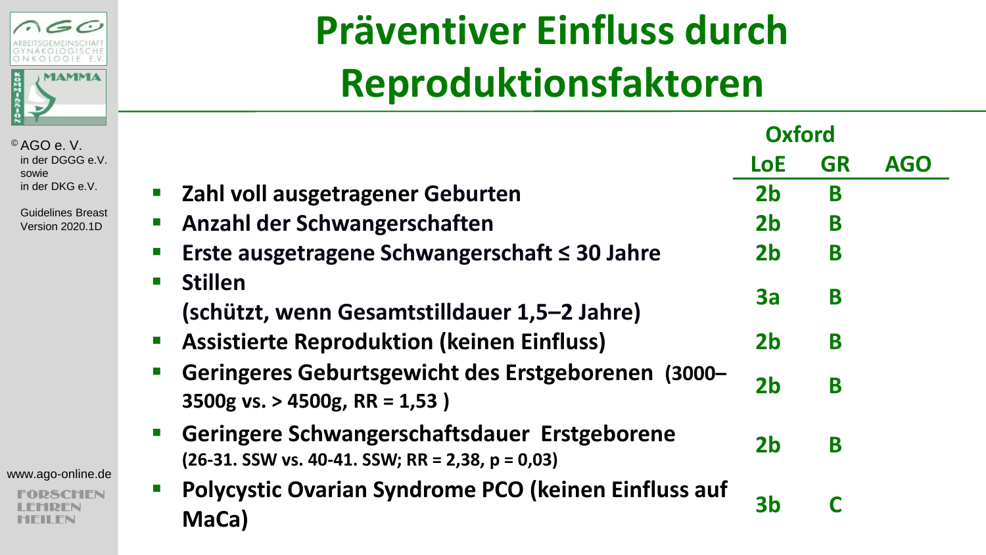

 Guidelines Breast Version 2020.1D

www.ago-online.de

**RSCHEN** IDFN MFII FN

## **Präventiver Einfluss durch Reproduktionsfaktoren**

|                                                                                                    | <b>Oxford</b>  |           |            |
|----------------------------------------------------------------------------------------------------|----------------|-----------|------------|
|                                                                                                    | <b>LoE</b>     | <b>GR</b> | <b>AGO</b> |
| Zahl voll ausgetragener Geburten                                                                   | 2 <sub>b</sub> | B         |            |
| Anzahl der Schwangerschaften                                                                       | 2 <sub>b</sub> | B         |            |
| Erste ausgetragene Schwangerschaft $\leq$ 30 Jahre                                                 | 2 <sub>b</sub> | B         |            |
| <b>Stillen</b><br>(schützt, wenn Gesamtstilldauer 1,5–2 Jahre)                                     | За             | B         |            |
| <b>Assistierte Reproduktion (keinen Einfluss)</b>                                                  | 2 <sub>b</sub> | B         |            |
| Geringeres Geburtsgewicht des Erstgeborenen (3000–<br>3500g vs. > 4500g, RR = 1,53)                | 2 <sub>b</sub> | B         |            |
| Geringere Schwangerschaftsdauer Erstgeborene<br>$(26-31.$ SSW vs. 40-41. SSW; RR = 2,38, p = 0,03) | 2 <sub>b</sub> | B         |            |
| Polycystic Ovarian Syndrome PCO (keinen Einfluss auf<br>MaCa)                                      | 3b             |           |            |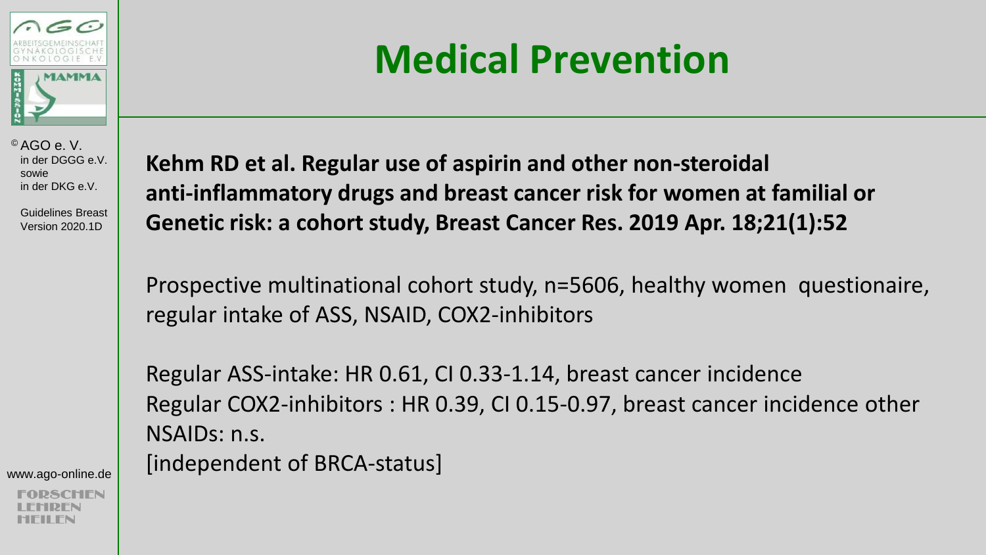

 Guidelines Breast Version 2020.1D

www.ago-online.de

### **Medical Prevention**

**Kehm RD et al. Regular use of aspirin and other non-steroidal anti-inflammatory drugs and breast cancer risk for women at familial or Genetic risk: a cohort study, Breast Cancer Res. 2019 Apr. 18;21(1):52**

Prospective multinational cohort study, n=5606, healthy women questionaire, regular intake of ASS, NSAID, COX2-inhibitors

Regular ASS-intake: HR 0.61, CI 0.33-1.14, breast cancer incidence Regular COX2-inhibitors : HR 0.39, CI 0.15-0.97, breast cancer incidence other NSAIDs: n.s. [independent of BRCA-status]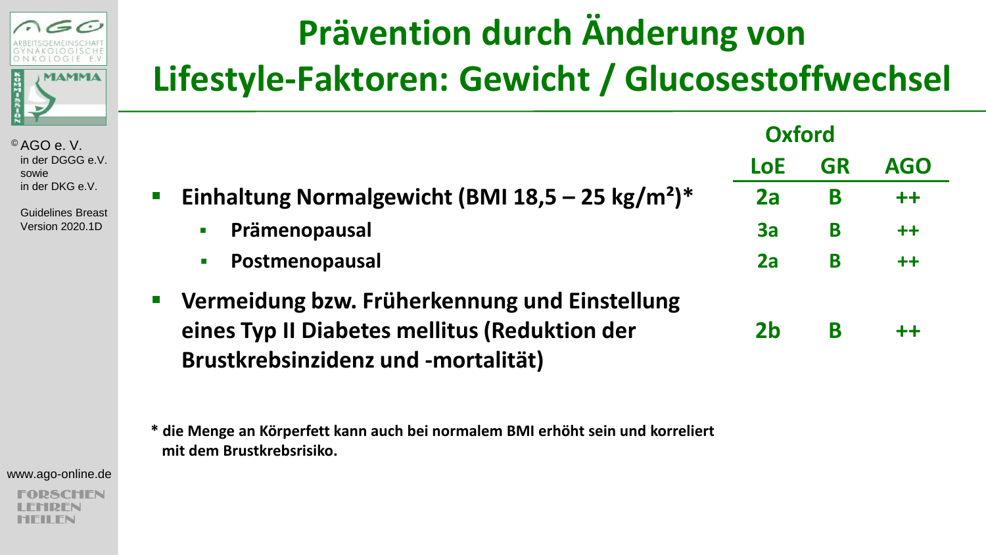

 Guidelines Breast Version 2020.1D

### **Prävention durch Änderung von Lifestyle-Faktoren: Gewicht / Glucosestoffwechsel**

|                                                                                                                                                                      | <b>Oxford</b> |           |            |
|----------------------------------------------------------------------------------------------------------------------------------------------------------------------|---------------|-----------|------------|
|                                                                                                                                                                      | <b>LoE</b>    | <b>GR</b> | <b>AGO</b> |
| Einhaltung Normalgewicht (BMI 18,5 - 25 kg/m <sup>2</sup> )*<br>$\mathcal{L}_{\mathcal{A}}$                                                                          | 2a            | B         | $++$       |
| Prämenopausal<br>$\blacksquare$                                                                                                                                      | 3a            | B         | $++$       |
| Postmenopausal<br>$\mathbf{r}$                                                                                                                                       | 2a            | B         | $++$       |
| Vermeidung bzw. Früherkennung und Einstellung<br>$\mathcal{L}_{\mathcal{A}}$<br>eines Typ II Diabetes mellitus (Reduktion der<br>Brustkrebsinzidenz und -mortalität) | 2b            | B         | $++$       |

**\* die Menge an Körperfett kann auch bei normalem BMI erhöht sein und korreliert mit dem Brustkrebsrisiko.** 

www.ago-online.de

SCHEN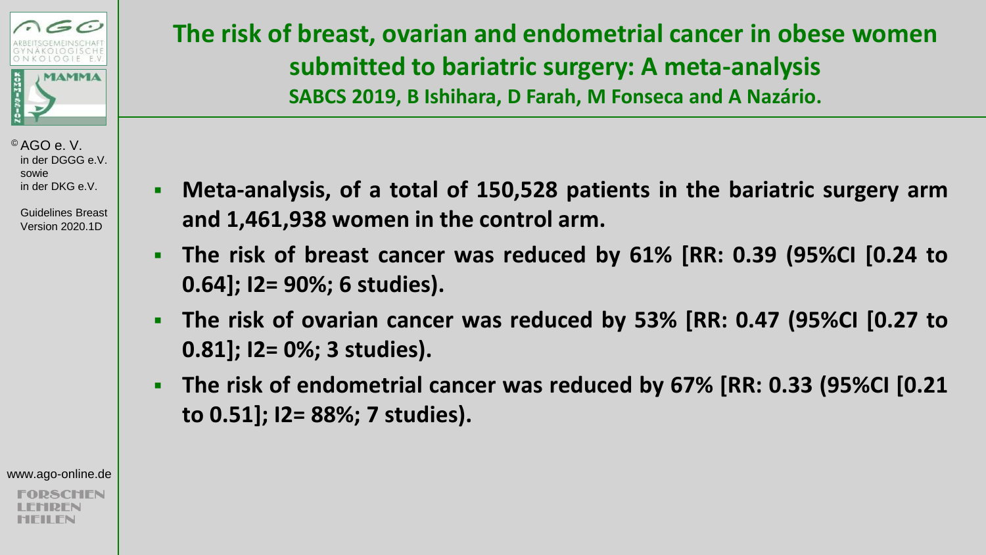

 Guidelines Breast Version 2020.1D

### **The risk of breast, ovarian and endometrial cancer in obese women submitted to bariatric surgery: A meta-analysis SABCS 2019, B Ishihara, D Farah, M Fonseca and A Nazário.**

- **Meta-analysis, of a total of 150,528 patients in the bariatric surgery arm and 1,461,938 women in the control arm.**
- **The risk of breast cancer was reduced by 61% [RR: 0.39 (95%CI [0.24 to 0.64]; I2= 90%; 6 studies).**
- **The risk of ovarian cancer was reduced by 53% [RR: 0.47 (95%CI [0.27 to 0.81]; I2= 0%; 3 studies).**
- **The risk of endometrial cancer was reduced by 67% [RR: 0.33 (95%CI [0.21 to 0.51]; I2= 88%; 7 studies).**

www.ago-online.de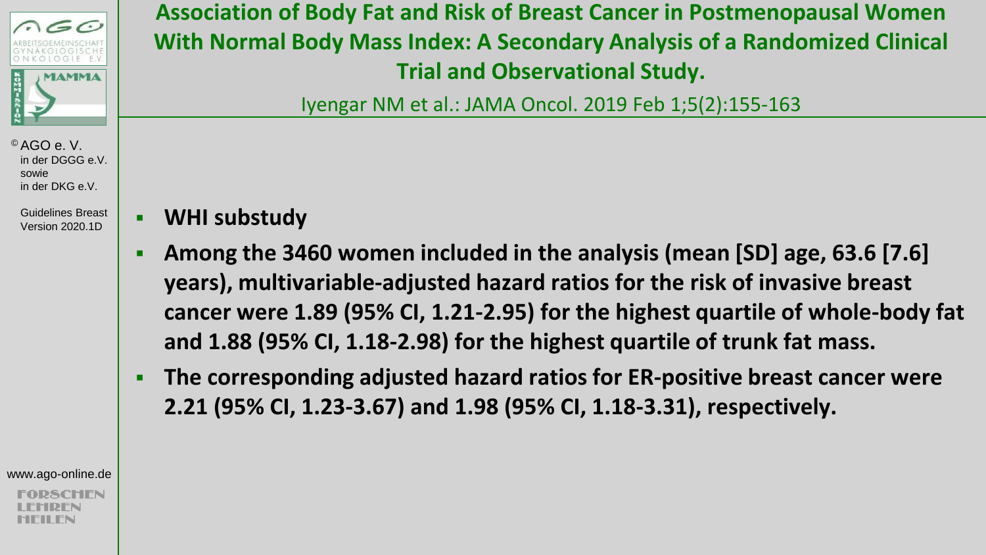

 Guidelines Breast Version 2020.1D

**Association of Body Fat and Risk of Breast Cancer in Postmenopausal Women With Normal Body Mass Index: A Secondary Analysis of a Randomized Clinical Trial and Observational Study.**

Iyengar NM et al.: JAMA Oncol. 2019 Feb 1;5(2):155-163

- **WHI substudy**
- **Among the 3460 women included in the analysis (mean [SD] age, 63.6 [7.6] years), multivariable-adjusted hazard ratios for the risk of invasive breast cancer were 1.89 (95% CI, 1.21-2.95) for the highest quartile of whole-body fat and 1.88 (95% CI, 1.18-2.98) for the highest quartile of trunk fat mass.**
- **The corresponding adjusted hazard ratios for ER-positive breast cancer were 2.21 (95% CI, 1.23-3.67) and 1.98 (95% CI, 1.18-3.31), respectively.**

www.ago-online.de

**SCHFN**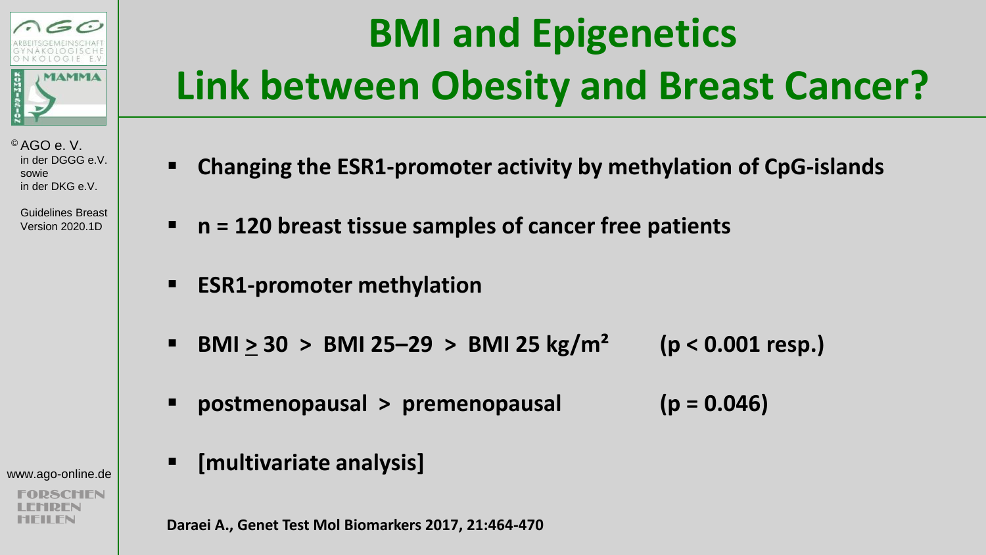

> Guidelines Breast Version 2020.1D

www.ago-online.de

## **BMI and Epigenetics Link between Obesity and Breast Cancer?**

- **Changing the ESR1-promoter activity by methylation of CpG-islands**
- **n = 120 breast tissue samples of cancer free patients**
- **ESR1-promoter methylation**
- **BMI > 30 > BMI 25–29 > BMI 25 kg/m² (p < 0.001 resp.)**
- **postmenopausal > premenopausal (p = 0.046)**
- **[multivariate analysis]**

**Daraei A., Genet Test Mol Biomarkers 2017, 21:464-470**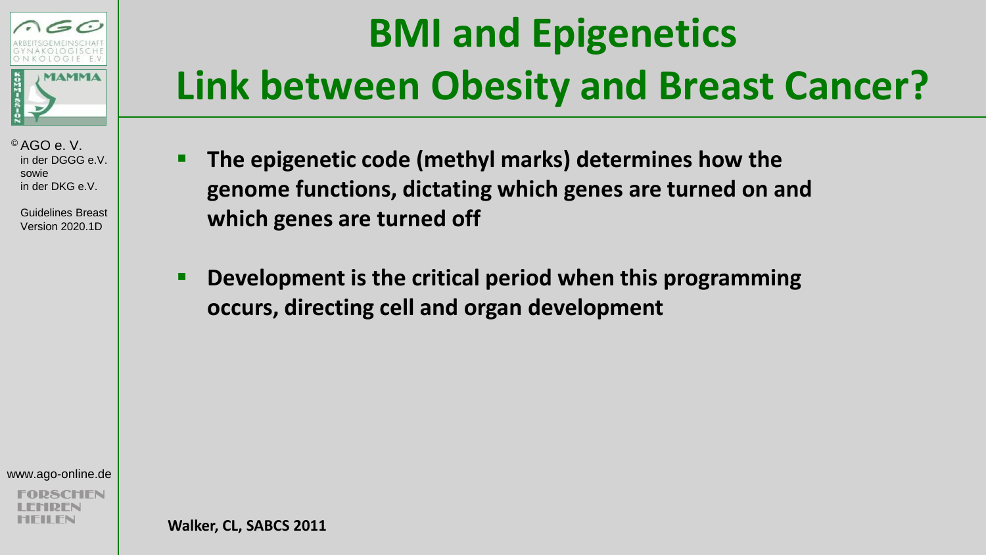

 Guidelines Breast Version 2020.1D

## **BMI and Epigenetics Link between Obesity and Breast Cancer?**

- **The epigenetic code (methyl marks) determines how the genome functions, dictating which genes are turned on and which genes are turned off**
- **Development is the critical period when this programming occurs, directing cell and organ development**

www.ago-online.de

**Walker, CL, SABCS 2011**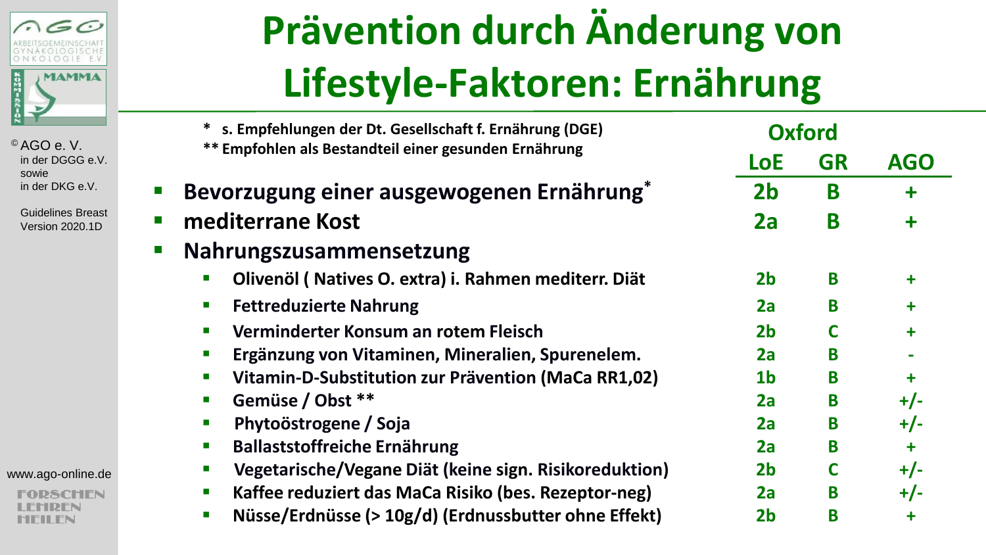

> Guidelines Breast Version 2020.1D

#### www.ago-online.de

**2SCHEN** REN MFII FN

## **Prävention durch Änderung von Lifestyle-Faktoren: Ernährung**

| * s. Empfehlungen der Dt. Gesellschaft f. Ernährung (DGE)                             | <b>Oxford</b>  |           |            |
|---------------------------------------------------------------------------------------|----------------|-----------|------------|
| ** Empfohlen als Bestandteil einer gesunden Ernährung                                 | <b>LoE</b>     | <b>GR</b> | <b>AGO</b> |
| Bevorzugung einer ausgewogenen Ernährung*                                             | 2 <sub>b</sub> | B         | $\ddot{}$  |
| mediterrane Kost                                                                      | 2a             | B         | $\ddot{}$  |
| Nahrungszusammensetzung                                                               |                |           |            |
| Olivenöl (Natives O. extra) i. Rahmen mediterr. Diät<br>$\mathcal{L}_{\mathcal{A}}$   | 2 <sub>b</sub> | B         | ٠          |
| <b>Fettreduzierte Nahrung</b><br>$\mathcal{L}_{\mathcal{A}}$                          | 2a             | В         | ٠          |
| Verminderter Konsum an rotem Fleisch<br>$\mathcal{L}_{\mathcal{A}}$                   | 2 <sub>b</sub> |           | $\ddot{}$  |
| Ergänzung von Vitaminen, Mineralien, Spurenelem.                                      | 2a             | B         |            |
| Vitamin-D-Substitution zur Prävention (MaCa RR1,02)<br>$\mathcal{L}_{\mathcal{A}}$    | 1 <sub>b</sub> | B         | $\ddot{}$  |
| Gemüse / Obst **<br>$\mathcal{L}_{\mathcal{A}}$                                       | 2a             | B         | $+/-$      |
| Phytoöstrogene / Soja<br>$\blacksquare$                                               | 2a             | B         | $+/-$      |
| <b>Ballaststoffreiche Ernährung</b><br>п                                              | 2a             | B         | $\ddot{}$  |
| Vegetarische/Vegane Diät (keine sign. Risikoreduktion)<br>$\mathcal{L}_{\mathcal{A}}$ | 2 <sub>b</sub> |           | $+/-$      |
| Kaffee reduziert das MaCa Risiko (bes. Rezeptor-neg)<br>$\mathcal{L}_{\mathcal{A}}$   | 2a             | B         | $+/-$      |
| Nüsse/Erdnüsse (> 10g/d) (Erdnussbutter ohne Effekt)<br>$\mathcal{L}_{\mathcal{A}}$   | 2b             | B         | +          |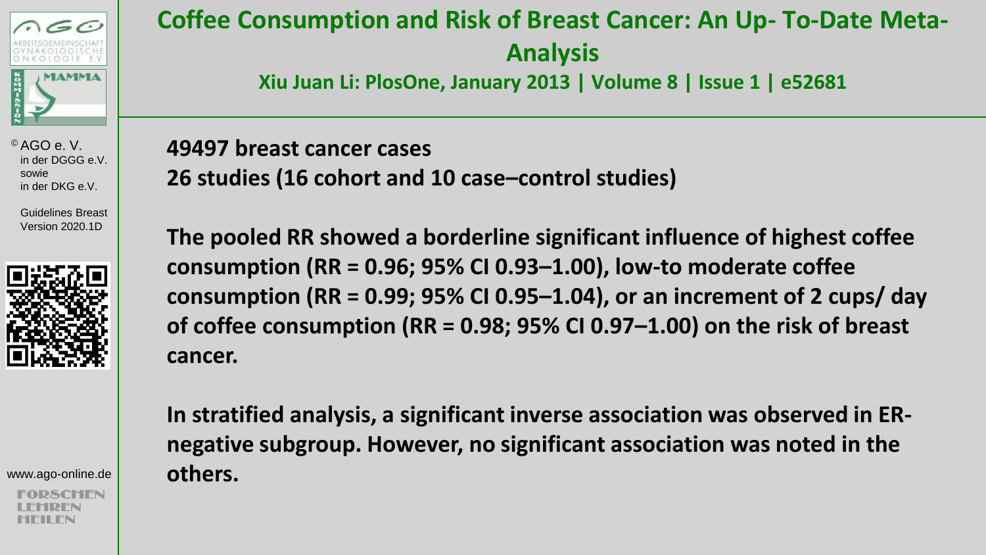

> Guidelines Breast Version 2020.1D



www.ago-online.de

### **Coffee Consumption and Risk of Breast Cancer: An Up- To-Date Meta-Analysis**

**Xiu Juan Li: PlosOne, January 2013 | Volume 8 | Issue 1 | e52681** 

**49497 breast cancer cases 26 studies (16 cohort and 10 case–control studies)** 

**The pooled RR showed a borderline significant influence of highest coffee consumption (RR = 0.96; 95% CI 0.93–1.00), low-to moderate coffee consumption (RR = 0.99; 95% CI 0.95–1.04), or an increment of 2 cups/ day of coffee consumption (RR = 0.98; 95% CI 0.97–1.00) on the risk of breast cancer.** 

**In stratified analysis, a significant inverse association was observed in ERnegative subgroup. However, no significant association was noted in the others.**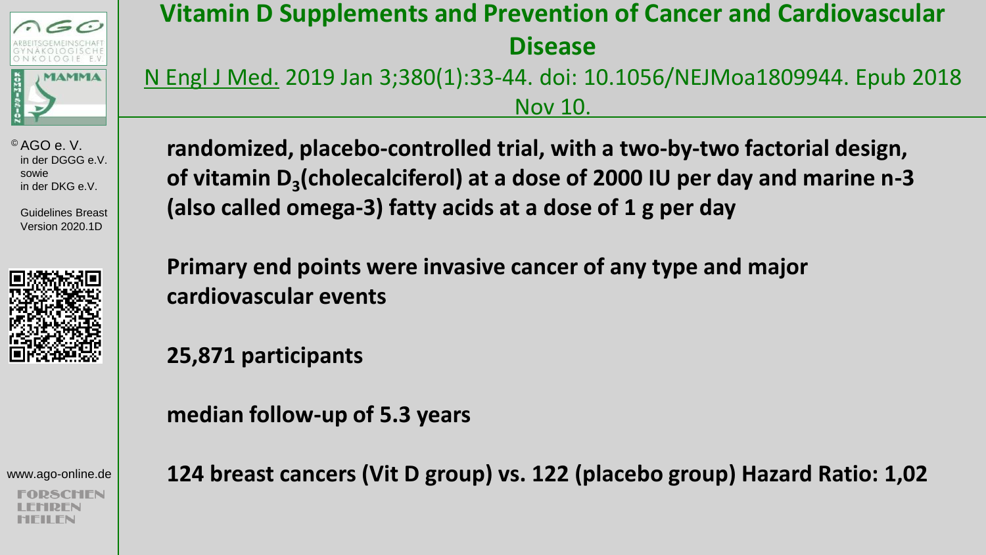

 Guidelines Breast Version 2020.1D



www.ago-online.de

SCHIFN

### **Vitamin D Supplements and Prevention of Cancer and Cardiovascular Disease**

N Engl J Med. 2019 Jan 3;380(1):33-44. doi: 10.1056/NEJMoa1809944. Epub 2018 Nov 10.

**randomized, placebo-controlled trial, with a two-by-two factorial design, of vitamin D<sup>3</sup> (cholecalciferol) at a dose of 2000 IU per day and marine n-3 (also called omega-3) fatty acids at a dose of 1 g per day**

**Primary end points were invasive cancer of any type and major cardiovascular events** 

**25,871 participants**

**median follow-up of 5.3 years**

**124 breast cancers (Vit D group) vs. 122 (placebo group) Hazard Ratio: 1,02**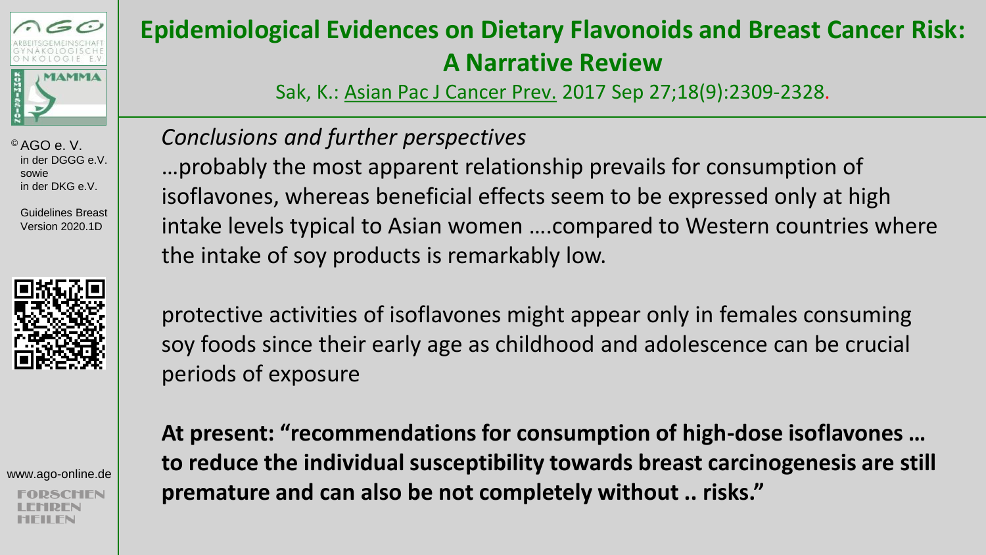

 Guidelines Breast Version 2020.1D



www.ago-online.de

### **Epidemiological Evidences on Dietary Flavonoids and Breast Cancer Risk: A Narrative Review**

Sak, K.: Asian Pac J Cancer Prev. 2017 Sep 27;18(9):2309-2328.

#### *Conclusions and further perspectives*

…probably the most apparent relationship prevails for consumption of isoflavones, whereas beneficial effects seem to be expressed only at high intake levels typical to Asian women ….compared to Western countries where the intake of soy products is remarkably low.

protective activities of isoflavones might appear only in females consuming soy foods since their early age as childhood and adolescence can be crucial periods of exposure

**At present: "recommendations for consumption of high-dose isoflavones … to reduce the individual susceptibility towards breast carcinogenesis are still premature and can also be not completely without .. risks."**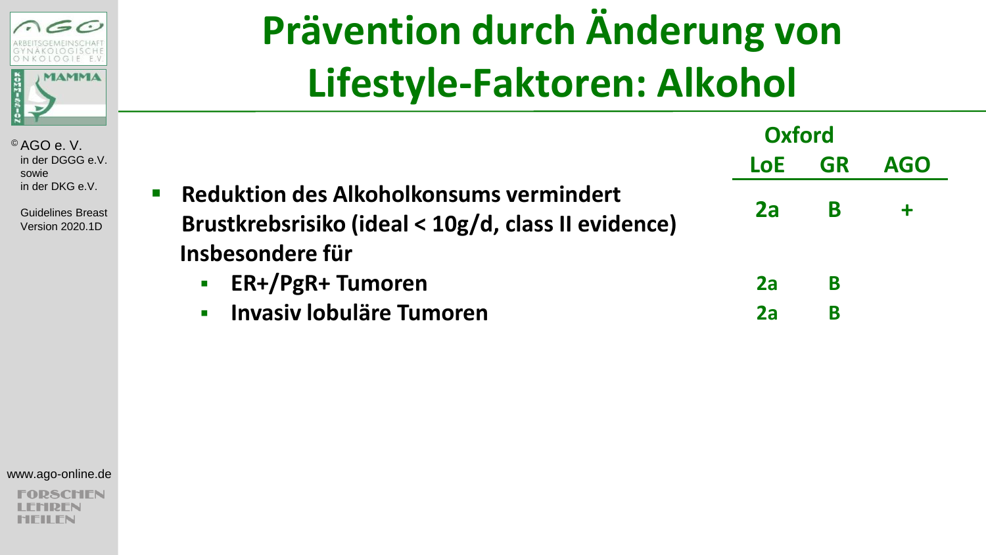

 Guidelines Breast Version 2020.1D

## **Prävention durch Änderung von Lifestyle-Faktoren: Alkohol**

|                                                                                                                                             | <b>Oxford</b> |           |            |
|---------------------------------------------------------------------------------------------------------------------------------------------|---------------|-----------|------------|
|                                                                                                                                             | <b>LoE</b>    | <b>GR</b> | <b>AGO</b> |
| <b>Reduktion des Alkoholkonsums vermindert</b><br>$\blacksquare$<br>Brustkrebsrisiko (ideal < 10g/d, class II evidence)<br>Insbesondere für | 2a            | B         |            |
| ER+/PgR+ Tumoren<br>$\blacksquare$                                                                                                          | 2a            | B         |            |
| <b>Invasiv lobuläre Tumoren</b><br>$\mathbf{r}$                                                                                             | 2a            | B         |            |

www.ago-online.de

**PSCHEN** REN MFII FN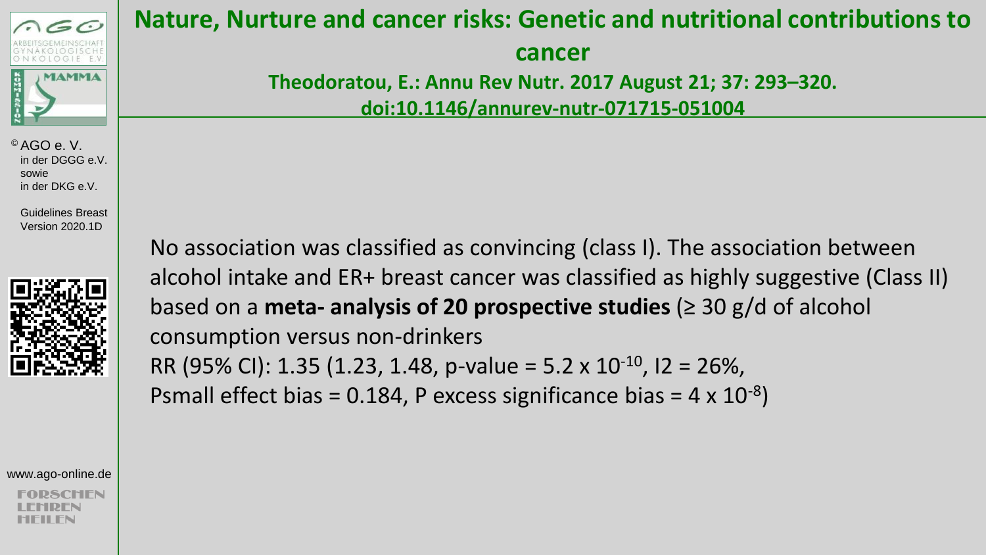

 Guidelines Breast Version 2020.1D



www.ago-online.de

#### **Nature, Nurture and cancer risks: Genetic and nutritional contributions to**

**cancer** 

**Theodoratou, E.: Annu Rev Nutr. 2017 August 21; 37: 293–320. doi:10.1146/annurev-nutr-071715-051004** 

No association was classified as convincing (class I). The association between alcohol intake and ER+ breast cancer was classified as highly suggestive (Class II) based on a **meta- analysis of 20 prospective studies** (≥ 30 g/d of alcohol consumption versus non-drinkers RR (95% CI): 1.35 (1.23, 1.48, p-value = 5.2 x 10<sup>-10</sup>, I2 = 26%,

Psmall effect bias = 0.184, P excess significance bias =  $4 \times 10^{-8}$ )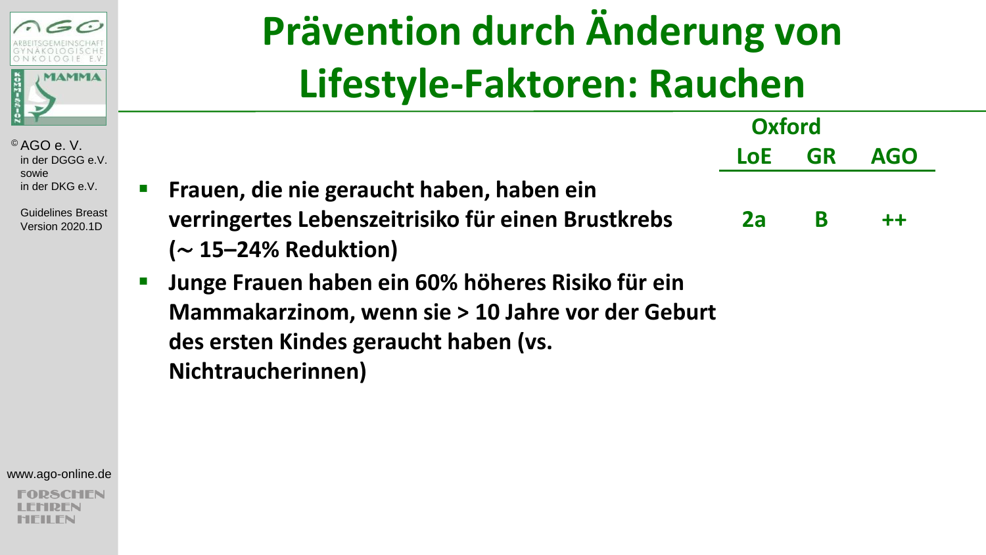

 Guidelines Breast Version 2020.1D

# **Prävention durch Änderung von Lifestyle-Faktoren: Rauchen**

|                                                                                                 | <b>Oxford</b> |           |            |
|-------------------------------------------------------------------------------------------------|---------------|-----------|------------|
|                                                                                                 | <b>LoE</b>    | <b>GR</b> | <b>AGO</b> |
| Frauen, die nie geraucht haben, haben ein<br>verringertes Lebenszeitrisiko für einen Brustkrebs | 2a            | В         | $++$       |
| $(\sim$ 15–24% Reduktion)                                                                       |               |           |            |
| Junge Frauen haben ein 60% höheres Risiko für ein                                               |               |           |            |
| Mammakarzinom, wenn sie > 10 Jahre vor der Geburt                                               |               |           |            |
| des ersten Kindes geraucht haben (vs.                                                           |               |           |            |
| Nichtraucherinnen)                                                                              |               |           |            |

www.ago-online.de

**2SCHEN** RFN 'II FN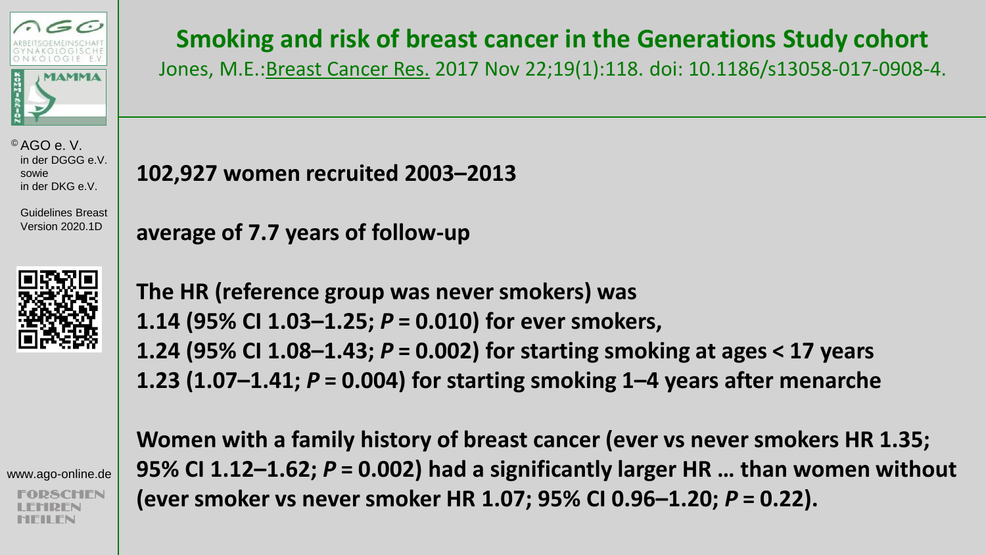

 Guidelines Breast Version 2020.1D



www.ago-online.de

### **Smoking and risk of breast cancer in the Generations Study cohort**

Jones, M.E.:Breast Cancer Res. 2017 Nov 22;19(1):118. doi: 10.1186/s13058-017-0908-4.

**102,927 women recruited 2003–2013**

**average of 7.7 years of follow-up**

**The HR (reference group was never smokers) was 1.14 (95% CI 1.03–1.25;** *P***= 0.010) for ever smokers, 1.24 (95% CI 1.08–1.43;** *P***= 0.002) for starting smoking at ages < 17 years 1.23 (1.07–1.41;** *P***= 0.004) for starting smoking 1–4 years after menarche**

**Women with a family history of breast cancer (ever vs never smokers HR 1.35; 95% CI 1.12–1.62;** *P***= 0.002) had a significantly larger HR … than women without (ever smoker vs never smoker HR 1.07; 95% CI 0.96–1.20;** *P***= 0.22).**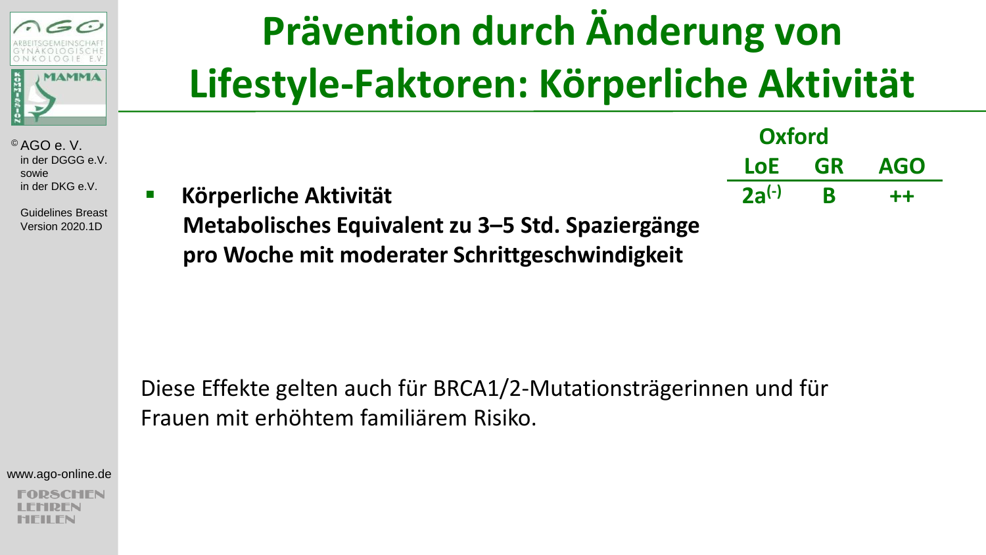

 Guidelines Breast Version 2020.1D

## **Prävention durch Änderung von Lifestyle-Faktoren: Körperliche Aktivität**

|                                                   | <b>Oxford</b> |            |  |
|---------------------------------------------------|---------------|------------|--|
|                                                   | LoE GR        | <b>AGO</b> |  |
| <b>Körperliche Aktivität</b>                      | $2a^{(-)}$ R  | $++$       |  |
| Metabolisches Equivalent zu 3–5 Std. Spaziergänge |               |            |  |

**pro Woche mit moderater Schrittgeschwindigkeit**

Diese Effekte gelten auch für BRCA1/2-Mutationsträgerinnen und für Frauen mit erhöhtem familiärem Risiko.

www.ago-online.de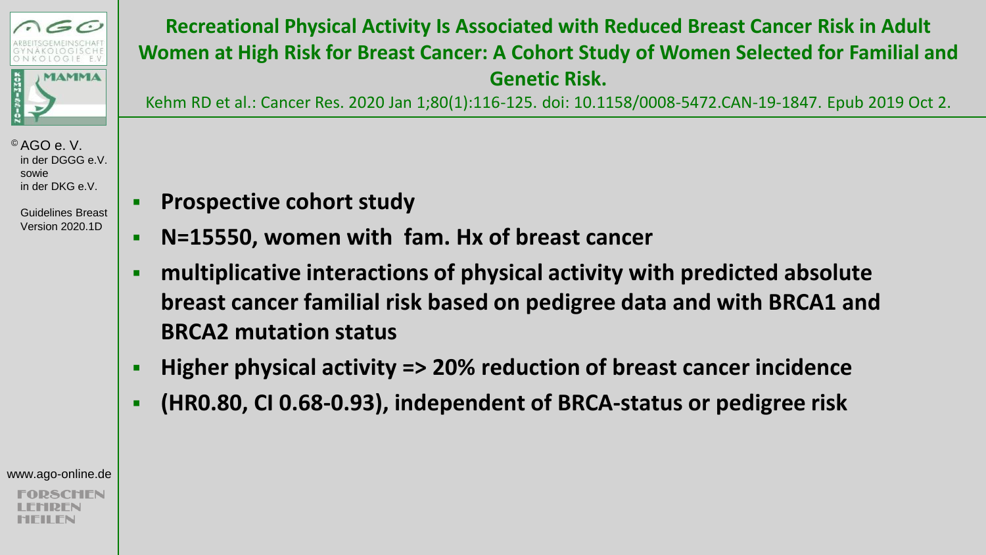

> Guidelines Breast Version 2020.1D

#### **Recreational Physical Activity Is Associated with Reduced Breast Cancer Risk in Adult Women at High Risk for Breast Cancer: A Cohort Study of Women Selected for Familial and Genetic Risk.**

Kehm RD et al.: Cancer Res. 2020 Jan 1;80(1):116-125. doi: 10.1158/0008-5472.CAN-19-1847. Epub 2019 Oct 2.

- **Prospective cohort study**
- **N=15550, women with fam. Hx of breast cancer**
- **multiplicative interactions of physical activity with predicted absolute breast cancer familial risk based on pedigree data and with BRCA1 and BRCA2 mutation status**
- **Higher physical activity => 20% reduction of breast cancer incidence**
- **(HR0.80, CI 0.68-0.93), independent of BRCA-status or pedigree risk**

www.ago-online.de

SCHEN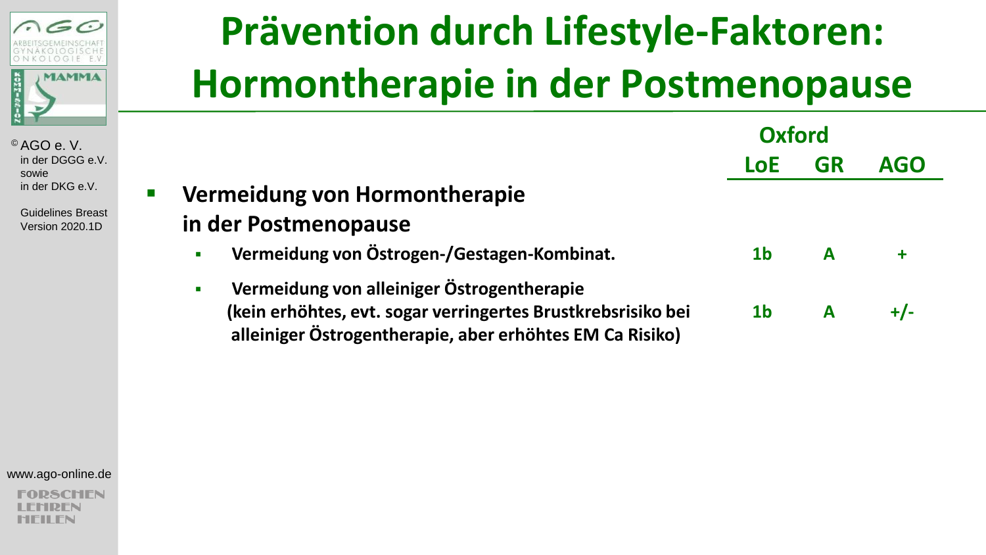

> Guidelines Breas Version 2020.1D

## **Prävention durch Lifestyle-Faktoren: Hormontherapie in der Postmenopause**

|                                                               | Oxford         |           |            |
|---------------------------------------------------------------|----------------|-----------|------------|
|                                                               | LoE            | <b>GR</b> | <b>AGO</b> |
| Vermeidung von Hormontherapie                                 |                |           |            |
| in der Postmenopause                                          |                |           |            |
| Vermeidung von Östrogen-/Gestagen-Kombinat.<br>$\blacksquare$ | 1 <sub>b</sub> | A         |            |
| Vermeidung von alleiniger Östrogentherapie<br>$\blacksquare$  |                |           |            |
| (kein erhöhtes, evt. sogar verringertes Brustkrebsrisiko bei  | 1 <sub>b</sub> |           | $+/-$      |
| alleiniger Östrogentherapie, aber erhöhtes EM Ca Risiko)      |                |           |            |

www.ago-online.de

**SCHEN** DFN II FN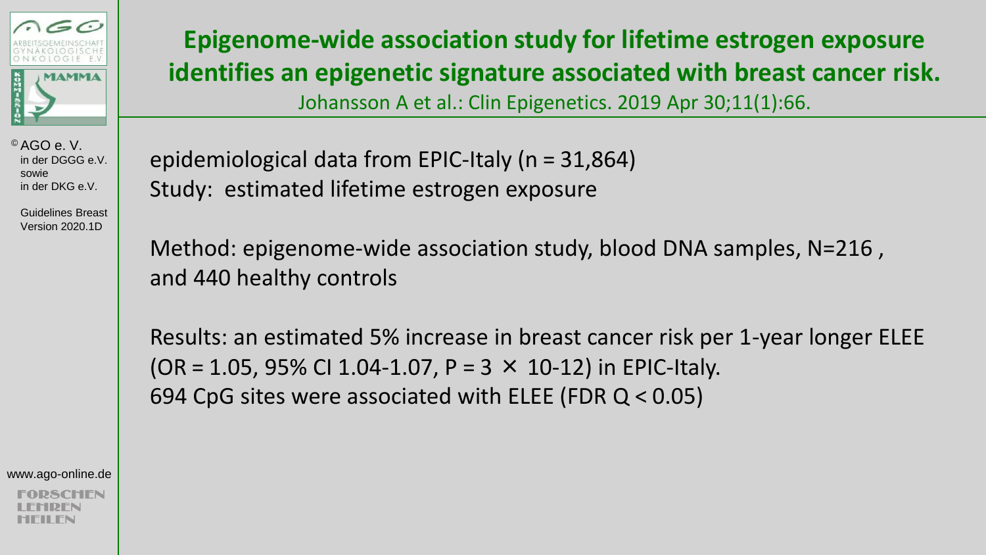

 Guidelines Breast Version 2020.1D

**Epigenome-wide association study for lifetime estrogen exposure identifies an epigenetic signature associated with breast cancer risk.**  Johansson A et al.: Clin Epigenetics. 2019 Apr 30;11(1):66.

epidemiological data from EPIC-Italy (n = 31,864) Study: estimated lifetime estrogen exposure

Method: epigenome-wide association study, blood DNA samples, N=216 , and 440 healthy controls

Results: an estimated 5% increase in breast cancer risk per 1-year longer ELEE  $(OR = 1.05, 95\% \text{ CI } 1.04 - 1.07, P = 3 \times 10 - 12)$  in EPIC-Italy. 694 CpG sites were associated with ELEE (FDR  $Q < 0.05$ )

www.ago-online.de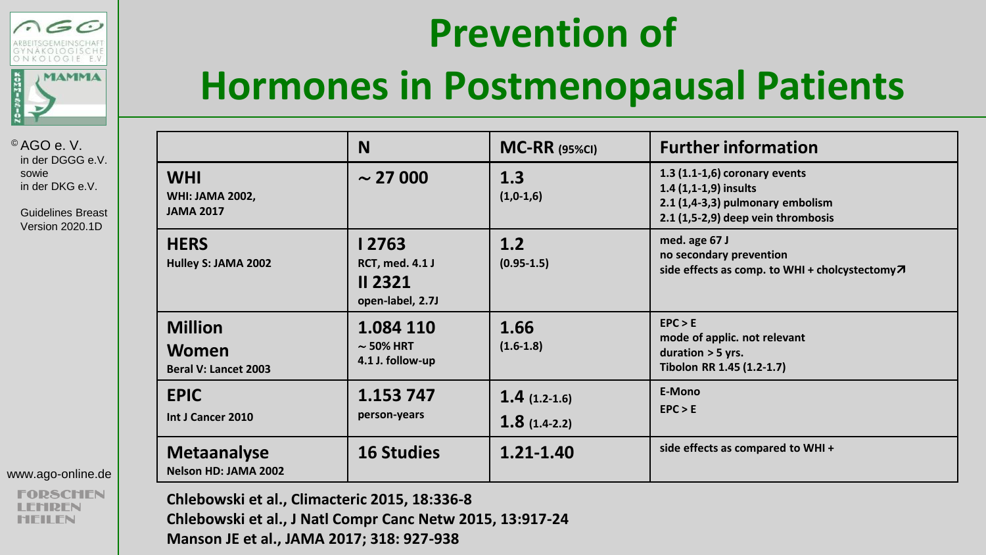



 Guidelines Breast Version 2020.1D

| www.ago-online.de |  |
|-------------------|--|
|-------------------|--|

### **Hormones in Postmenopausal Patients**

|                                                               | N                                                                      | $MC-RR$ (95%CI)                  | <b>Further information</b>                                                                                                          |
|---------------------------------------------------------------|------------------------------------------------------------------------|----------------------------------|-------------------------------------------------------------------------------------------------------------------------------------|
| <b>WHI</b><br><b>WHI: JAMA 2002,</b><br><b>JAMA 2017</b>      | $\sim$ 27 000                                                          | 1.3<br>$(1,0-1,6)$               | 1.3 (1.1-1,6) coronary events<br>$1.4(1,1-1,9)$ insults<br>$2.1$ (1,4-3,3) pulmonary embolism<br>2.1 (1,5-2,9) deep vein thrombosis |
| <b>HERS</b><br>Hulley S: JAMA 2002                            | l 2763<br><b>RCT, med. 4.1 J</b><br><b>II 2321</b><br>open-label, 2.7J | 1.2<br>$(0.95 - 1.5)$            | med. age 67 J<br>no secondary prevention<br>side effects as comp. to WHI + cholcystectomy7                                          |
| <b>Million</b><br><b>Women</b><br><b>Beral V: Lancet 2003</b> | 1.084 110<br>$\sim$ 50% HRT<br>4.1 J. follow-up                        | 1.66<br>$(1.6-1.8)$              | EPC > E<br>mode of applic. not relevant<br>duration $>$ 5 yrs.<br>Tibolon RR 1.45 (1.2-1.7)                                         |
| <b>EPIC</b><br>Int J Cancer 2010                              | 1.153 747<br>person-years                                              | $1.4(1.2-1.6)$<br>$1.8(1.4-2.2)$ | E-Mono<br>EPC > E                                                                                                                   |
| <b>Metaanalyse</b><br>Nelson HD: JAMA 2002                    | <b>16 Studies</b>                                                      | $1.21 - 1.40$                    | side effects as compared to WHI +                                                                                                   |

**Chlebowski et al., Climacteric 2015, 18:336-8 Chlebowski et al., J Natl Compr Canc Netw 2015, 13:917-24 Manson JE et al., JAMA 2017; 318: 927-938**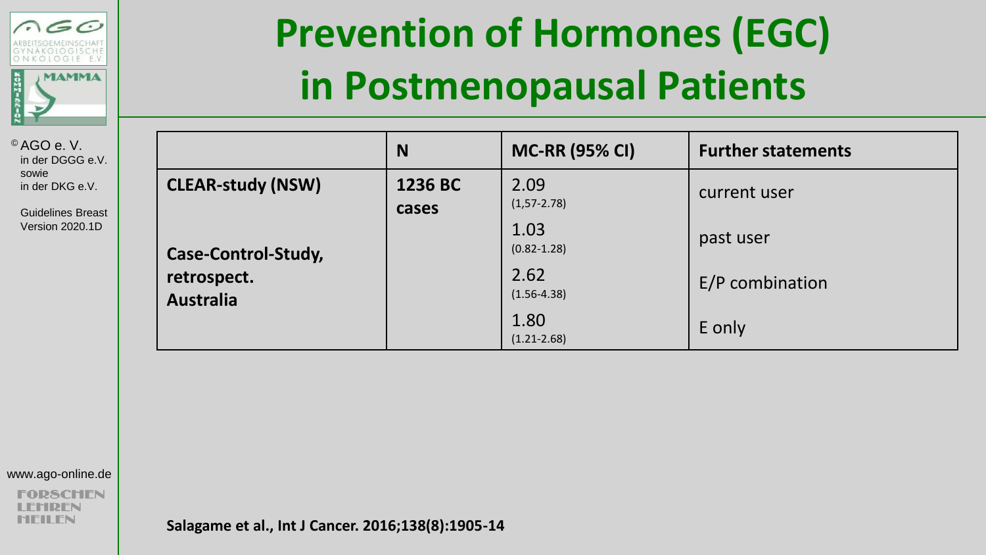

 Guidelines Breast Version 2020.1D

### **Prevention of Hormones (EGC) in Postmenopausal Patients**

|                                 | N                | <b>MC-RR (95% CI)</b>    | <b>Further statements</b> |
|---------------------------------|------------------|--------------------------|---------------------------|
| <b>CLEAR-study (NSW)</b>        | 1236 BC<br>cases | 2.09<br>$(1, 57 - 2.78)$ | current user              |
| Case-Control-Study,             |                  | 1.03<br>$(0.82 - 1.28)$  | past user                 |
| retrospect.<br><b>Australia</b> |                  | 2.62<br>$(1.56 - 4.38)$  | E/P combination           |
|                                 |                  | 1.80<br>$(1.21 - 2.68)$  | E only                    |

www.ago-online.de

**2SCHEN** IDFN MFII FN

**Salagame et al., Int J Cancer. 2016;138(8):1905-14**